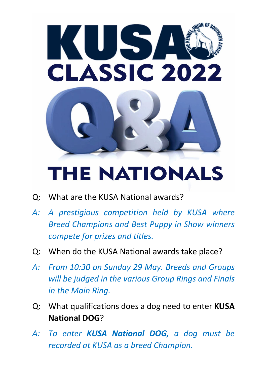

## **THE NATIONALS**

- Q: What are the KUSA National awards?
- *A: A prestigious competition held by KUSA where Breed Champions and Best Puppy in Show winners compete for prizes and titles.*
- Q: When do the KUSA National awards take place?
- *A: From 10:30 on Sunday 29 May. Breeds and Groups will be judged in the various Group Rings and Finals in the Main Ring.*
- Q: What qualifications does a dog need to enter **KUSA National DOG**?
- *A: To enter KUSA National DOG, a dog must be recorded at KUSA as a breed Champion.*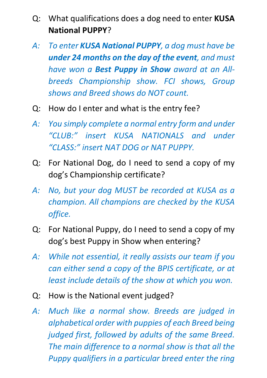- Q: What qualifications does a dog need to enter **KUSA National PUPPY**?
- *A: To enter KUSA National PUPPY, a dog must have be under 24 months on the day of the event, and must have won a Best Puppy in Show award at an Allbreeds Championship show. FCI shows, Group shows and Breed shows do NOT count.*
- Q: How do I enter and what is the entry fee?
- *A: You simply complete a normal entry form and under "CLUB:" insert KUSA NATIONALS and under "CLASS:" insert NAT DOG or NAT PUPPY.*
- Q: For National Dog, do I need to send a copy of my dog's Championship certificate?
- *A: No, but your dog MUST be recorded at KUSA as a champion. All champions are checked by the KUSA office.*
- Q: For National Puppy, do I need to send a copy of my dog's best Puppy in Show when entering?
- *A: While not essential, it really assists our team if you can either send a copy of the BPIS certificate, or at least include details of the show at which you won.*
- Q: How is the National event judged?
- *A: Much like a normal show. Breeds are judged in alphabetical order with puppies of each Breed being judged first, followed by adults of the same Breed. The main difference to a normal show is that all the Puppy qualifiers in a particular breed enter the ring*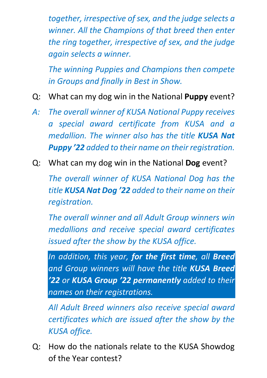*together, irrespective of sex, and the judge selects a winner. All the Champions of that breed then enter the ring together, irrespective of sex, and the judge again selects a winner.*

*The winning Puppies and Champions then compete in Groups and finally in Best in Show.*

- Q: What can my dog win in the National **Puppy** event?
- *A: The overall winner of KUSA National Puppy receives a special award certificate from KUSA and a medallion. The winner also has the title KUSA Nat Puppy '22 added to their name on their registration.*
- Q: What can my dog win in the National **Dog** event?

*The overall winner of KUSA National Dog has the title KUSA Nat Dog '22 added to their name on their registration.* 

*The overall winner and all Adult Group winners win medallions and receive special award certificates issued after the show by the KUSA office.*

*In addition, this year, for the first time, all Breed and Group winners will have the title KUSA Breed '22 or KUSA Group '22 permanently added to their names on their registrations.*

*All Adult Breed winners also receive special award certificates which are issued after the show by the KUSA office.*

Q: How do the nationals relate to the KUSA Showdog of the Year contest?